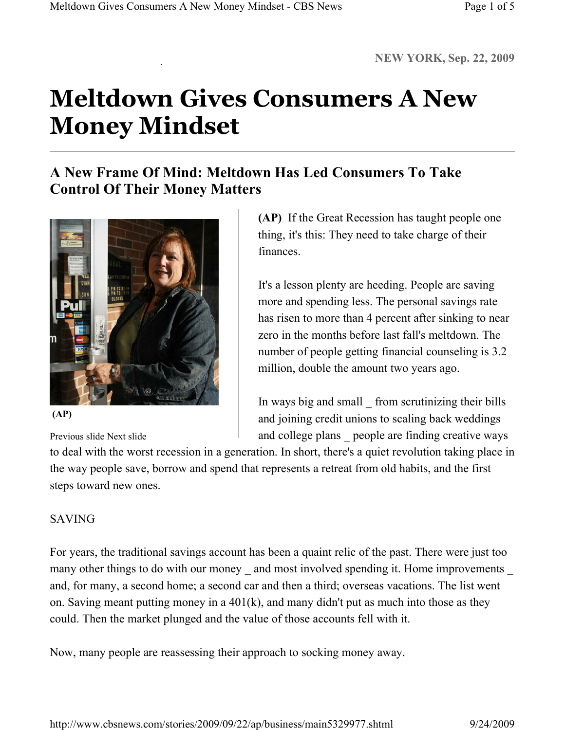# **Meltdown Gives Consumers A New Money Mindset**

## **A New Frame Of Mind: Meltdown Has Led Consumers To Take Control Of Their Money Matters**



 **(AP)**

Previous slide Next slide

**(AP)** If the Great Recession has taught people one thing, it's this: They need to take charge of their finances.

It's a lesson plenty are heeding. People are saving more and spending less. The personal savings rate has risen to more than 4 percent after sinking to near zero in the months before last fall's meltdown. The number of people getting financial counseling is 3.2 million, double the amount two years ago.

In ways big and small \_ from scrutinizing their bills and joining credit unions to scaling back weddings and college plans \_ people are finding creative ways

to deal with the worst recession in a generation. In short, there's a quiet revolution taking place in the way people save, borrow and spend that represents a retreat from old habits, and the first steps toward new ones.

## SAVING

For years, the traditional savings account has been a quaint relic of the past. There were just too many other things to do with our money and most involved spending it. Home improvements and, for many, a second home; a second car and then a third; overseas vacations. The list went on. Saving meant putting money in a 401(k), and many didn't put as much into those as they could. Then the market plunged and the value of those accounts fell with it.

Now, many people are reassessing their approach to socking money away.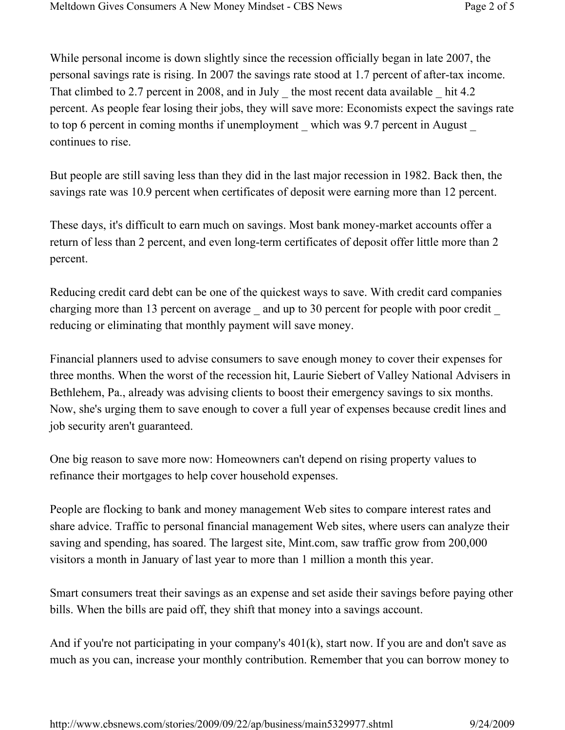While personal income is down slightly since the recession officially began in late 2007, the personal savings rate is rising. In 2007 the savings rate stood at 1.7 percent of after-tax income. That climbed to 2.7 percent in 2008, and in July \_ the most recent data available \_ hit 4.2 percent. As people fear losing their jobs, they will save more: Economists expect the savings rate to top 6 percent in coming months if unemployment which was 9.7 percent in August continues to rise.

But people are still saving less than they did in the last major recession in 1982. Back then, the savings rate was 10.9 percent when certificates of deposit were earning more than 12 percent.

These days, it's difficult to earn much on savings. Most bank money-market accounts offer a return of less than 2 percent, and even long-term certificates of deposit offer little more than 2 percent.

Reducing credit card debt can be one of the quickest ways to save. With credit card companies charging more than 13 percent on average \_ and up to 30 percent for people with poor credit reducing or eliminating that monthly payment will save money.

Financial planners used to advise consumers to save enough money to cover their expenses for three months. When the worst of the recession hit, Laurie Siebert of Valley National Advisers in Bethlehem, Pa., already was advising clients to boost their emergency savings to six months. Now, she's urging them to save enough to cover a full year of expenses because credit lines and job security aren't guaranteed.

One big reason to save more now: Homeowners can't depend on rising property values to refinance their mortgages to help cover household expenses.

People are flocking to bank and money management Web sites to compare interest rates and share advice. Traffic to personal financial management Web sites, where users can analyze their saving and spending, has soared. The largest site, Mint.com, saw traffic grow from 200,000 visitors a month in January of last year to more than 1 million a month this year.

Smart consumers treat their savings as an expense and set aside their savings before paying other bills. When the bills are paid off, they shift that money into a savings account.

And if you're not participating in your company's 401(k), start now. If you are and don't save as much as you can, increase your monthly contribution. Remember that you can borrow money to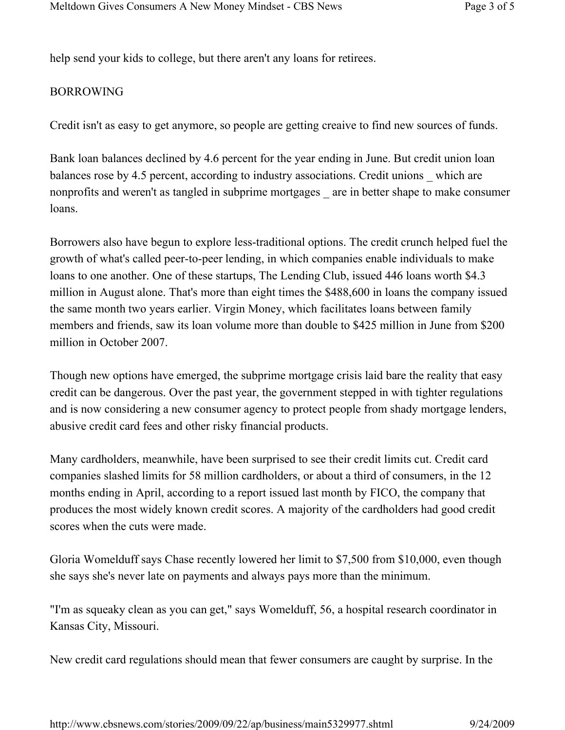help send your kids to college, but there aren't any loans for retirees.

### BORROWING

Credit isn't as easy to get anymore, so people are getting creaive to find new sources of funds.

Bank loan balances declined by 4.6 percent for the year ending in June. But credit union loan balances rose by 4.5 percent, according to industry associations. Credit unions which are nonprofits and weren't as tangled in subprime mortgages \_ are in better shape to make consumer loans.

Borrowers also have begun to explore less-traditional options. The credit crunch helped fuel the growth of what's called peer-to-peer lending, in which companies enable individuals to make loans to one another. One of these startups, The Lending Club, issued 446 loans worth \$4.3 million in August alone. That's more than eight times the \$488,600 in loans the company issued the same month two years earlier. Virgin Money, which facilitates loans between family members and friends, saw its loan volume more than double to \$425 million in June from \$200 million in October 2007.

Though new options have emerged, the subprime mortgage crisis laid bare the reality that easy credit can be dangerous. Over the past year, the government stepped in with tighter regulations and is now considering a new consumer agency to protect people from shady mortgage lenders, abusive credit card fees and other risky financial products.

Many cardholders, meanwhile, have been surprised to see their credit limits cut. Credit card companies slashed limits for 58 million cardholders, or about a third of consumers, in the 12 months ending in April, according to a report issued last month by FICO, the company that produces the most widely known credit scores. A majority of the cardholders had good credit scores when the cuts were made.

Gloria Womelduff says Chase recently lowered her limit to \$7,500 from \$10,000, even though she says she's never late on payments and always pays more than the minimum.

"I'm as squeaky clean as you can get," says Womelduff, 56, a hospital research coordinator in Kansas City, Missouri.

New credit card regulations should mean that fewer consumers are caught by surprise. In the

http://www.cbsnews.com/stories/2009/09/22/ap/business/main5329977.shtml 9/24/2009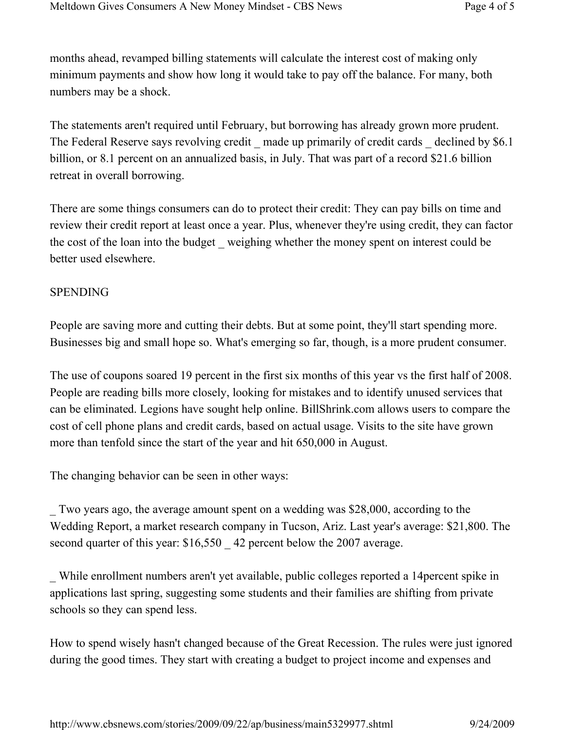months ahead, revamped billing statements will calculate the interest cost of making only minimum payments and show how long it would take to pay off the balance. For many, both numbers may be a shock.

The statements aren't required until February, but borrowing has already grown more prudent. The Federal Reserve says revolving credit — made up primarily of credit cards — declined by \$6.1 billion, or 8.1 percent on an annualized basis, in July. That was part of a record \$21.6 billion retreat in overall borrowing.

There are some things consumers can do to protect their credit: They can pay bills on time and review their credit report at least once a year. Plus, whenever they're using credit, they can factor the cost of the loan into the budget weighing whether the money spent on interest could be better used elsewhere.

### SPENDING

People are saving more and cutting their debts. But at some point, they'll start spending more. Businesses big and small hope so. What's emerging so far, though, is a more prudent consumer.

The use of coupons soared 19 percent in the first six months of this year vs the first half of 2008. People are reading bills more closely, looking for mistakes and to identify unused services that can be eliminated. Legions have sought help online. BillShrink.com allows users to compare the cost of cell phone plans and credit cards, based on actual usage. Visits to the site have grown more than tenfold since the start of the year and hit 650,000 in August.

The changing behavior can be seen in other ways:

\_ Two years ago, the average amount spent on a wedding was \$28,000, according to the Wedding Report, a market research company in Tucson, Ariz. Last year's average: \$21,800. The second quarter of this year: \$16,550  $\,$  42 percent below the 2007 average.

\_ While enrollment numbers aren't yet available, public colleges reported a 14percent spike in applications last spring, suggesting some students and their families are shifting from private schools so they can spend less.

How to spend wisely hasn't changed because of the Great Recession. The rules were just ignored during the good times. They start with creating a budget to project income and expenses and